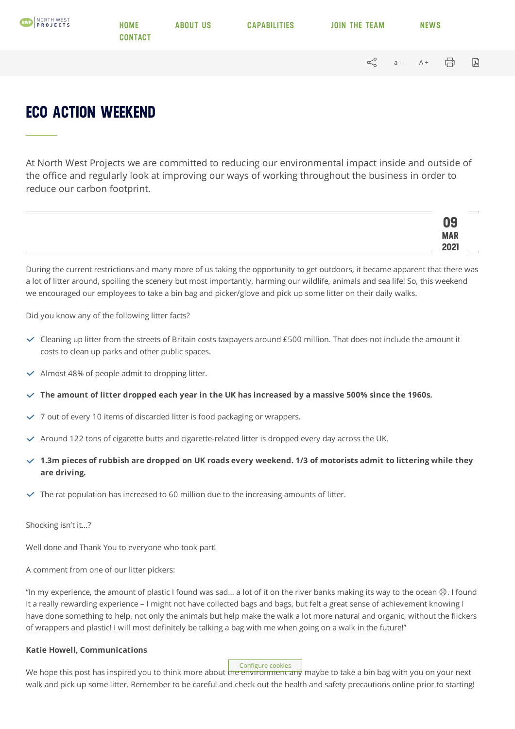| <b>NORTH WEST</b> | <b>HOME</b><br><b>CONTACT</b> | <b>ABOUT US</b> | <b>CAPABILITIES</b> | <b>JOIN THE TEAM</b> |                      |  | <b>NEWS</b> |  |   |
|-------------------|-------------------------------|-----------------|---------------------|----------------------|----------------------|--|-------------|--|---|
|                   |                               |                 |                     |                      | √ a- A+ <del>同</del> |  |             |  | 国 |
|                   |                               |                 |                     |                      |                      |  |             |  |   |

## **ECO ACTION WEEKEND**

At North West Projects we are committed to reducing our environmental impact inside and outside of the office and regularly look at improving our ways of working throughout the business in order to reduce our carbon footprint.

| uu                     |
|------------------------|
| MAR <sub>2001</sub>    |
| ∸∪∸<br><b>Contract</b> |

During the current restrictions and many more of us taking the opportunity to get outdoors, it became apparent that there was a lot of litter around, spoiling the scenery but most importantly, harming our wildlife, animals and sea life! So, this weekend we encouraged our employees to take a bin bag and picker/glove and pick up some litter on their daily walks.

Did you know any of the following litter facts?

- $\checkmark$  Cleaning up litter from the streets of Britain costs taxpayers around £500 million. That does not include the amount it costs to clean up parks and other public spaces.
- $\vee$  Almost 48% of people admit to dropping litter.
- $\vee$  The amount of litter dropped each year in the UK has increased by a massive 500% since the 1960s.
- 7 out of every 10 items of discarded litter is food packaging or wrappers.
- $\checkmark$  Around 122 tons of cigarette butts and cigarette-related litter is dropped every day across the UK.
- $\checkmark$  1.3m pieces of rubbish are dropped on UK roads every weekend. 1/3 of motorists admit to littering while they **are driving.**
- $\triangledown$  The rat population has increased to 60 million due to the increasing amounts of litter.

Shocking isn't it…?

Well done and Thank You to everyone who took part!

A comment from one of our litter pickers:

"In my experience, the amount of plastic I found was sad… a lot of it on the river banks making its way to the ocean ☹. I found it a really rewarding experience – I might not have collected bags and bags, but felt a great sense of achievement knowing I have done something to help, not only the animals but help make the walk a lot more natural and organic, without the flickers of wrappers and plastic! I will most definitely be talking a bag with me when going on a walk in the future!"

## **Katie Howell, Communications**

Configure cookies

We hope this post has inspired you to think more about the environment any maybe to take a bin bag with you on your next walk and pick up some litter. Remember to be careful and check out the health and safety precautions online prior to starting!